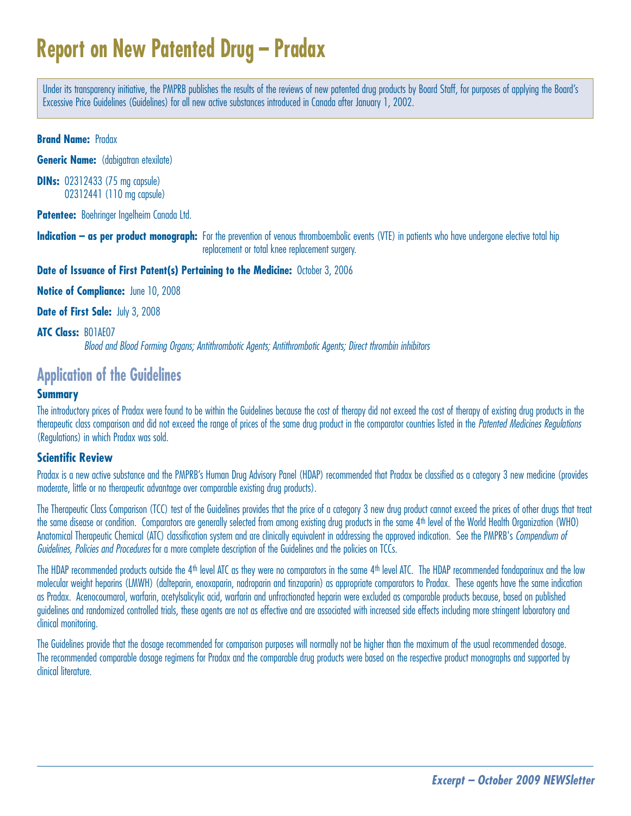# **Report on New Patented Drug – Pradax**

Under its transparency initiative, the PMPRB publishes the results of the reviews of new patented drug products by Board Staff, for purposes of applying the Board's Excessive Price Guidelines (Guidelines) for all new active substances introduced in Canada after January 1, 2002.

**Brand Name:** Pradax

**Generic Name:** (dabigatran etexilate)

**DINs:** 02312433 (75 mg capsule) 02312441 (110 mg capsule)

**Patentee:** Boehringer Ingelheim Canada Ltd.

**Indication – as per product monograph:** For the prevention of venous thromboembolic events (VTE) in patients who have undergone elective total hip replacement or total knee replacement surgery.

**Date of Issuance of First Patent(s) Pertaining to the Medicine:** October 3, 2006

**Notice of Compliance:** June 10, 2008

**Date of First Sale:** July 3, 2008

**ATC Class:** B01AE07

Blood and Blood Forming Organs; Antithrombotic Agents; Antithrombotic Agents; Direct thrombin inhibitors

# **Application of the Guidelines**

#### **Summary**

The introductory prices of Pradax were found to be within the Guidelines because the cost of therapy did not exceed the cost of therapy of existing drug products in the therapeutic class comparison and did not exceed the range of prices of the same drug product in the comparator countries listed in the Patented Medicines Regulations (Regulations) in which Pradax was sold.

#### **Scientific Review**

Pradax is a new active substance and the PMPRB's Human Drug Advisory Panel (HDAP) recommended that Pradax be classified as a category 3 new medicine (provides moderate, little or no therapeutic advantage over comparable existing drug products).

The Therapeutic Class Comparison (TCC) test of the Guidelines provides that the price of a category 3 new drug product cannot exceed the prices of other drugs that treat the same disease or condition. Comparators are generally selected from among existing drug products in the same 4th level of the World Health Organization (WHO) Anatomical Therapeutic Chemical (ATC) classification system and are clinically equivalent in addressing the approved indication. See the PMPRB's Compendium of Guidelines, Policies and Procedures for a more complete description of the Guidelines and the policies on TCCs.

The HDAP recommended products outside the 4<sup>th</sup> level ATC as they were no comparators in the same 4<sup>th</sup> level ATC. The HDAP recommended fondaparinux and the low molecular weight heparins (LMWH) (dalteparin, enoxaparin, nadroparin and tinzaparin) as appropriate comparators to Pradax. These agents have the same indication as Pradax. Acenocoumarol, warfarin, acetylsalicylic acid, warfarin and unfractionated heparin were excluded as comparable products because, based on published guidelines and randomized controlled trials, these agents are not as effective and are associated with increased side effects including more stringent laboratory and clinical monitoring.

The Guidelines provide that the dosage recommended for comparison purposes will normally not be higher than the maximum of the usual recommended dosage. The recommended comparable dosage regimens for Pradax and the comparable drug products were based on the respective product monographs and supported by clinical literature.